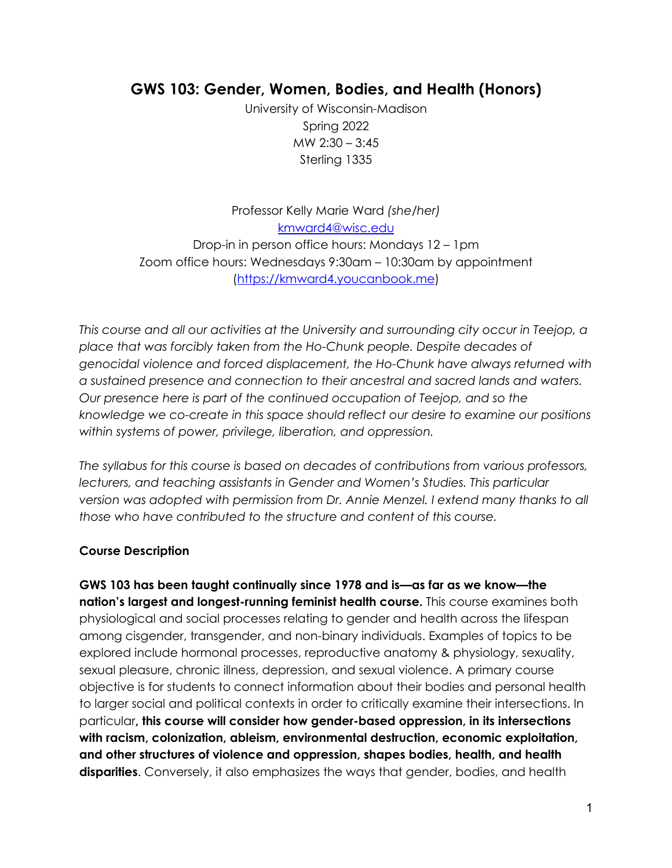# **GWS 103: Gender, Women, Bodies, and Health (Honors)**

University of Wisconsin-Madison Spring 2022 MW 2:30 – 3:45 Sterling 1335

Professor Kelly Marie Ward *(she/her)* kmward4@wisc.edu Drop-in in person office hours: Mondays 12 – 1pm Zoom office hours: Wednesdays 9:30am – 10:30am by appointment (https://kmward4.youcanbook.me)

*This course and all our activities at the University and surrounding city occur in Teejop, a place that was forcibly taken from the Ho-Chunk people. Despite decades of genocidal violence and forced displacement, the Ho-Chunk have always returned with a sustained presence and connection to their ancestral and sacred lands and waters. Our presence here is part of the continued occupation of Teejop, and so the knowledge we co-create in this space should reflect our desire to examine our positions within systems of power, privilege, liberation, and oppression.* 

*The syllabus for this course is based on decades of contributions from various professors, lecturers, and teaching assistants in Gender and Women's Studies. This particular version was adopted with permission from Dr. Annie Menzel. I extend many thanks to all those who have contributed to the structure and content of this course.* 

### **Course Description**

**GWS 103 has been taught continually since 1978 and is—as far as we know—the nation's largest and longest-running feminist health course.** This course examines both physiological and social processes relating to gender and health across the lifespan among cisgender, transgender, and non-binary individuals. Examples of topics to be explored include hormonal processes, reproductive anatomy & physiology, sexuality, sexual pleasure, chronic illness, depression, and sexual violence. A primary course objective is for students to connect information about their bodies and personal health to larger social and political contexts in order to critically examine their intersections. In particular**, this course will consider how gender-based oppression, in its intersections with racism, colonization, ableism, environmental destruction, economic exploitation, and other structures of violence and oppression, shapes bodies, health, and health disparities**. Conversely, it also emphasizes the ways that gender, bodies, and health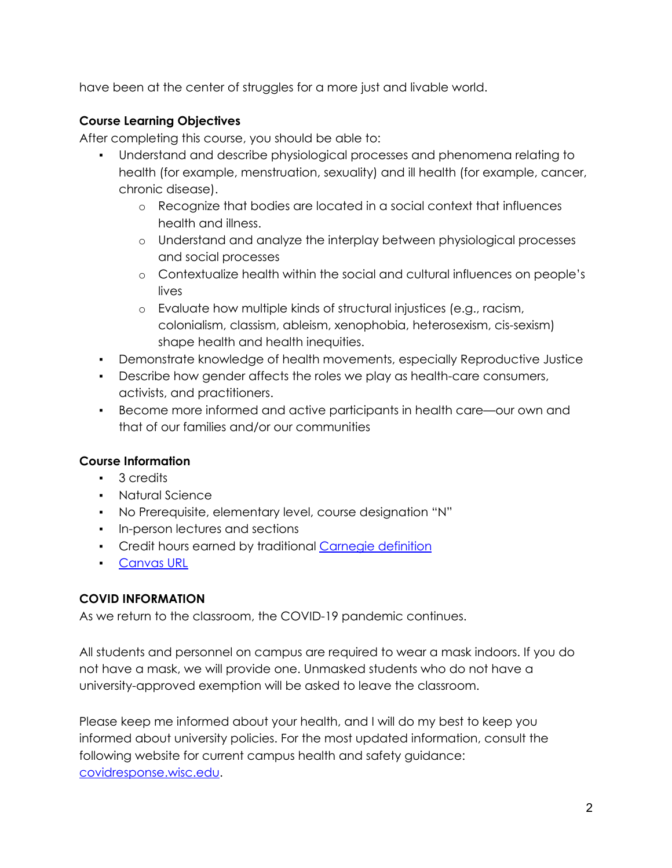have been at the center of struggles for a more just and livable world.

# **Course Learning Objectives**

After completing this course, you should be able to:

- Understand and describe physiological processes and phenomena relating to health (for example, menstruation, sexuality) and ill health (for example, cancer, chronic disease).
	- o Recognize that bodies are located in a social context that influences health and illness.
	- o Understand and analyze the interplay between physiological processes and social processes
	- o Contextualize health within the social and cultural influences on people's lives
	- o Evaluate how multiple kinds of structural injustices (e.g., racism, colonialism, classism, ableism, xenophobia, heterosexism, cis-sexism) shape health and health inequities.
- Demonstrate knowledge of health movements, especially Reproductive Justice
- Describe how gender affects the roles we play as health-care consumers, activists, and practitioners.
- Become more informed and active participants in health care—our own and that of our families and/or our communities

# **Course Information**

- 3 credits
- Natural Science
- No Prerequisite, elementary level, course designation "N"
- In-person lectures and sections
- **•** Credit hours earned by traditional Carnegie definition
- Canvas URL

# **COVID INFORMATION**

As we return to the classroom, the COVID-19 pandemic continues.

All students and personnel on campus are required to wear a mask indoors. If you do not have a mask, we will provide one. Unmasked students who do not have a university-approved exemption will be asked to leave the classroom.

Please keep me informed about your health, and I will do my best to keep you informed about university policies. For the most updated information, consult the following website for current campus health and safety guidance: covidresponse.wisc.edu.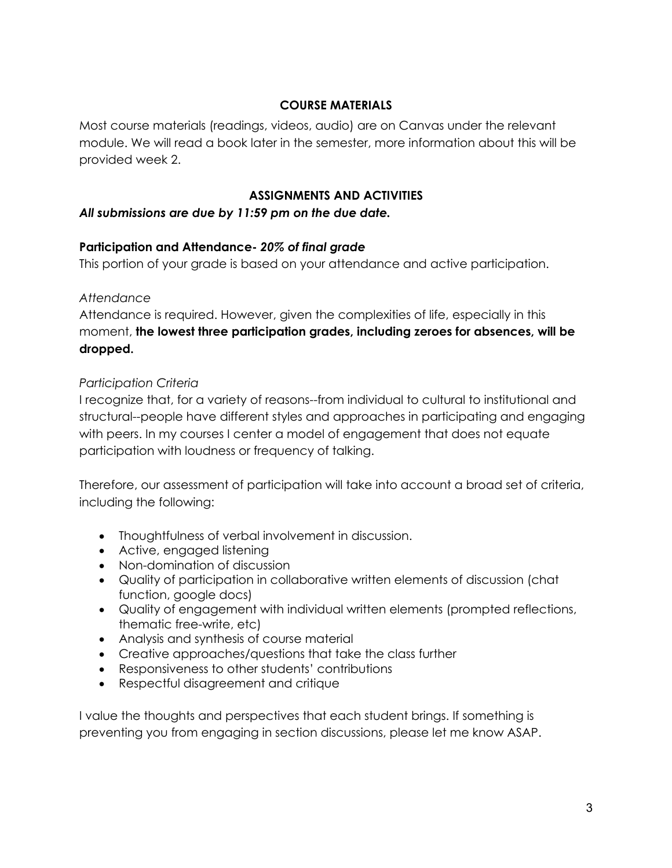## **COURSE MATERIALS**

Most course materials (readings, videos, audio) are on Canvas under the relevant module. We will read a book later in the semester, more information about this will be provided week 2.

### **ASSIGNMENTS AND ACTIVITIES**

## *All submissions are due by 11:59 pm on the due date.*

### **Participation and Attendance-** *20% of final grade*

This portion of your grade is based on your attendance and active participation.

### *Attendance*

Attendance is required. However, given the complexities of life, especially in this moment, **the lowest three participation grades, including zeroes for absences, will be dropped.**

# *Participation Criteria*

I recognize that, for a variety of reasons--from individual to cultural to institutional and structural--people have different styles and approaches in participating and engaging with peers. In my courses I center a model of engagement that does not equate participation with loudness or frequency of talking.

Therefore, our assessment of participation will take into account a broad set of criteria, including the following:

- Thoughtfulness of verbal involvement in discussion.
- Active, engaged listening
- Non-domination of discussion
- Quality of participation in collaborative written elements of discussion (chat function, google docs)
- Quality of engagement with individual written elements (prompted reflections, thematic free-write, etc)
- Analysis and synthesis of course material
- Creative approaches/questions that take the class further
- Responsiveness to other students' contributions
- Respectful disagreement and critique

I value the thoughts and perspectives that each student brings. If something is preventing you from engaging in section discussions, please let me know ASAP.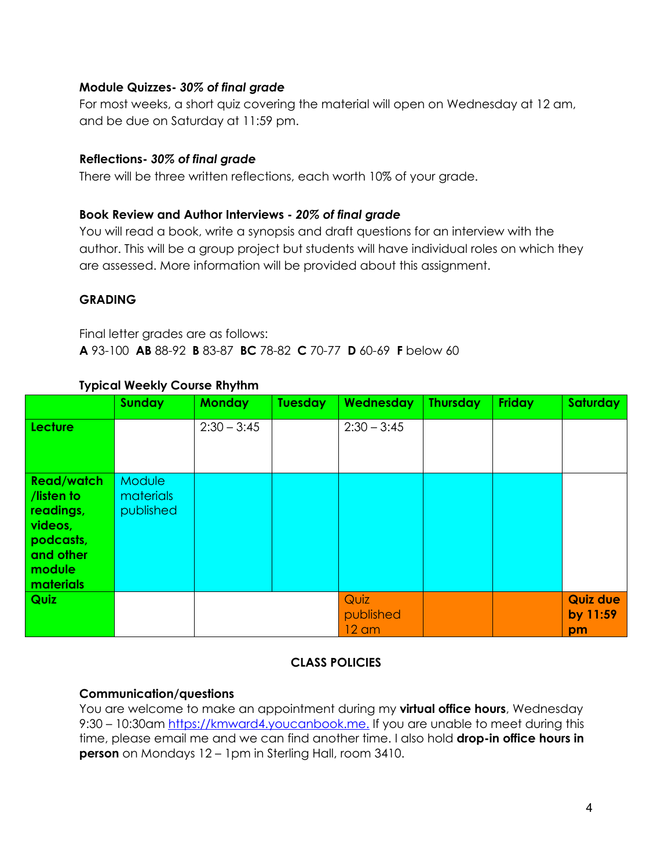#### **Module Quizzes-** *30% of final grade*

For most weeks, a short quiz covering the material will open on Wednesday at 12 am, and be due on Saturday at 11:59 pm.

#### **Reflections-** *30% of final grade*

There will be three written reflections, each worth 10% of your grade.

#### **Book Review and Author Interviews -** *20% of final grade*

You will read a book, write a synopsis and draft questions for an interview with the author. This will be a group project but students will have individual roles on which they are assessed. More information will be provided about this assignment.

#### **GRADING**

Final letter grades are as follows: **A** 93-100 **AB** 88-92 **B** 83-87 **BC** 78-82 **C** 70-77 **D** 60-69 **F** below 60

#### **Typical Weekly Course Rhythm**

|                                                                                                          | <b>Sunday</b>                           | <b>Monday</b> | <b>Tuesday</b> | Wednesday                            | <b>Thursday</b> | <b>Friday</b> | Saturday                          |
|----------------------------------------------------------------------------------------------------------|-----------------------------------------|---------------|----------------|--------------------------------------|-----------------|---------------|-----------------------------------|
| <b>Lecture</b>                                                                                           |                                         | $2:30 - 3:45$ |                | $2:30 - 3:45$                        |                 |               |                                   |
| <b>Read/watch</b><br>/listen to<br>readings,<br>videos,<br>podcasts,<br>and other<br>module<br>materials | <b>Module</b><br>materials<br>published |               |                |                                      |                 |               |                                   |
| <b>Quiz</b>                                                                                              |                                         |               |                | Quiz<br>published<br>$12 \text{ cm}$ |                 |               | <b>Quiz due</b><br>by 11:59<br>pm |

### **CLASS POLICIES**

#### **Communication/questions**

You are welcome to make an appointment during my **virtual office hours**, Wednesday 9:30 – 10:30am https://kmward4.youcanbook.me. If you are unable to meet during this time, please email me and we can find another time. I also hold **drop-in office hours in person** on Mondays 12 – 1pm in Sterling Hall, room 3410.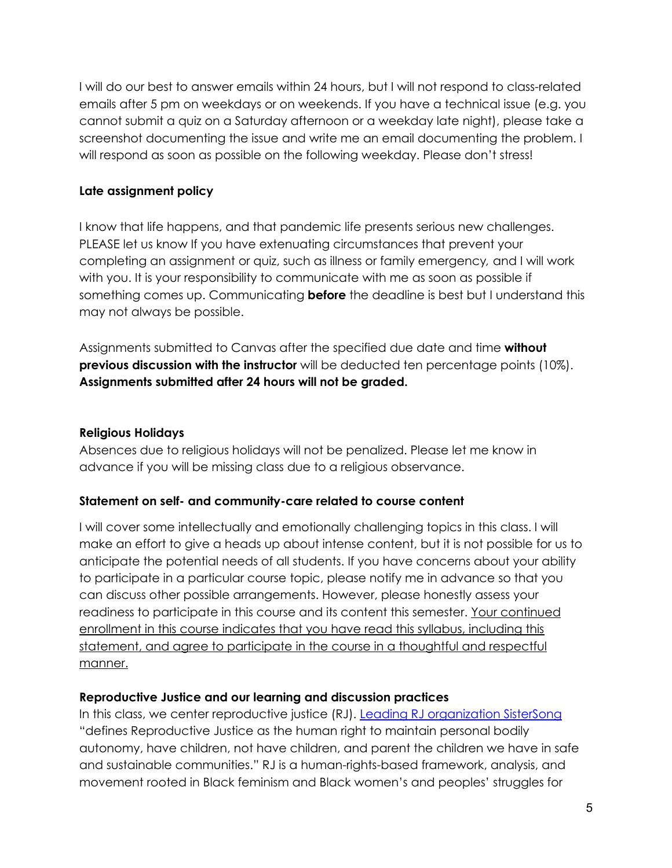I will do our best to answer emails within 24 hours, but I will not respond to class-related emails after 5 pm on weekdays or on weekends. If you have a technical issue (e.g. you cannot submit a quiz on a Saturday afternoon or a weekday late night), please take a screenshot documenting the issue and write me an email documenting the problem. I will respond as soon as possible on the following weekday. Please don't stress!

# **Late assignment policy**

I know that life happens, and that pandemic life presents serious new challenges. PLEASE let us know If you have extenuating circumstances that prevent your completing an assignment or quiz, such as illness or family emergency*,* and I will work with you. It is your responsibility to communicate with me as soon as possible if something comes up. Communicating **before** the deadline is best but I understand this may not always be possible.

Assignments submitted to Canvas after the specified due date and time **without previous discussion with the instructor** will be deducted ten percentage points (10%). **Assignments submitted after 24 hours will not be graded.**

### **Religious Holidays**

Absences due to religious holidays will not be penalized. Please let me know in advance if you will be missing class due to a religious observance.

# **Statement on self- and community-care related to course content**

I will cover some intellectually and emotionally challenging topics in this class. I will make an effort to give a heads up about intense content, but it is not possible for us to anticipate the potential needs of all students. If you have concerns about your ability to participate in a particular course topic, please notify me in advance so that you can discuss other possible arrangements. However, please honestly assess your readiness to participate in this course and its content this semester. Your continued enrollment in this course indicates that you have read this syllabus, including this statement, and agree to participate in the course in a thoughtful and respectful manner.

### **Reproductive Justice and our learning and discussion practices**

In this class, we center reproductive justice (RJ). Leading RJ organization SisterSong "defines Reproductive Justice as the human right to maintain personal bodily autonomy, have children, not have children, and parent the children we have in safe and sustainable communities." RJ is a human-rights-based framework, analysis, and movement rooted in Black feminism and Black women's and peoples' struggles for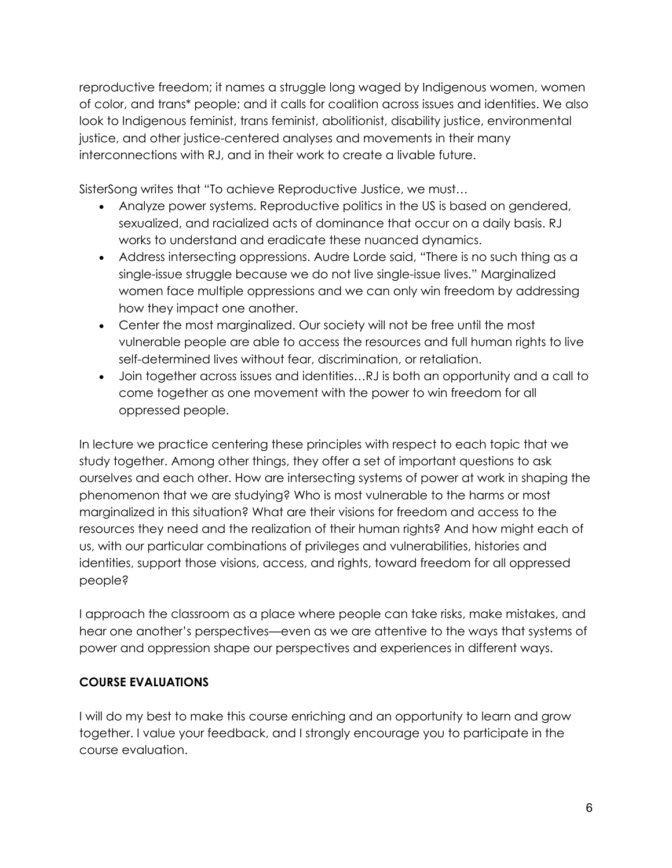reproductive freedom; it names a struggle long waged by Indigenous women, women of color, and trans\* people; and it calls for coalition across issues and identities. We also look to Indigenous feminist, trans feminist, abolitionist, disability justice, environmental justice, and other justice-centered analyses and movements in their many interconnections with RJ, and in their work to create a livable future.

SisterSong writes that "To achieve Reproductive Justice, we must…

- Analyze power systems. Reproductive politics in the US is based on gendered, sexualized, and racialized acts of dominance that occur on a daily basis. RJ works to understand and eradicate these nuanced dynamics.
- Address intersecting oppressions. Audre Lorde said, "There is no such thing as a single-issue struggle because we do not live single-issue lives." Marginalized women face multiple oppressions and we can only win freedom by addressing how they impact one another.
- Center the most marginalized. Our society will not be free until the most vulnerable people are able to access the resources and full human rights to live self-determined lives without fear, discrimination, or retaliation.
- Join together across issues and identities…RJ is both an opportunity and a call to come together as one movement with the power to win freedom for all oppressed people.

In lecture we practice centering these principles with respect to each topic that we study together. Among other things, they offer a set of important questions to ask ourselves and each other. How are intersecting systems of power at work in shaping the phenomenon that we are studying? Who is most vulnerable to the harms or most marginalized in this situation? What are their visions for freedom and access to the resources they need and the realization of their human rights? And how might each of us, with our particular combinations of privileges and vulnerabilities, histories and identities, support those visions, access, and rights, toward freedom for all oppressed people?

I approach the classroom as a place where people can take risks, make mistakes, and hear one another's perspectives—even as we are attentive to the ways that systems of power and oppression shape our perspectives and experiences in different ways.

# **COURSE EVALUATIONS**

I will do my best to make this course enriching and an opportunity to learn and grow together. I value your feedback, and I strongly encourage you to participate in the course evaluation.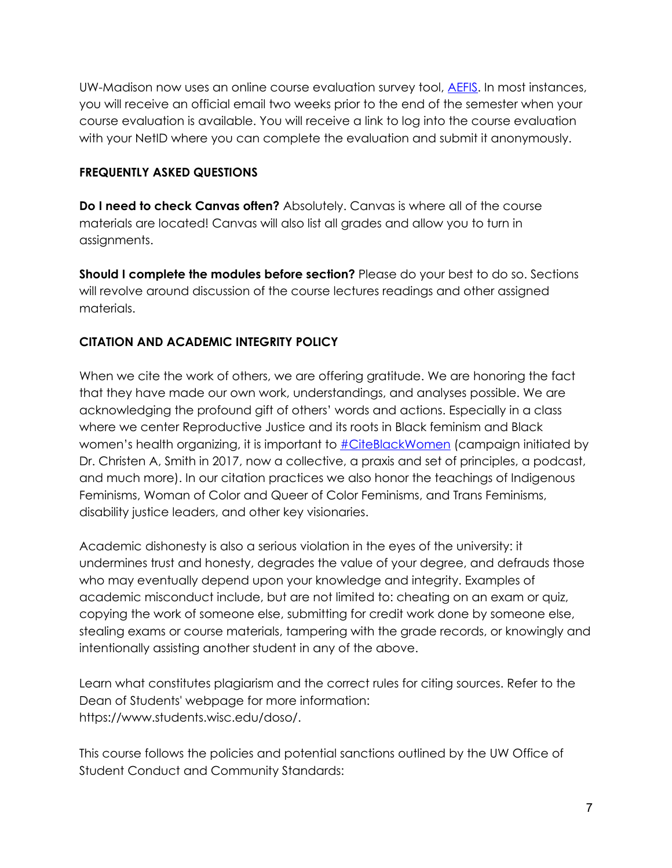UW-Madison now uses an online course evaluation survey tool, AEFIS. In most instances, you will receive an official email two weeks prior to the end of the semester when your course evaluation is available. You will receive a link to log into the course evaluation with your NetID where you can complete the evaluation and submit it anonymously.

# **FREQUENTLY ASKED QUESTIONS**

**Do I need to check Canvas often?** Absolutely. Canvas is where all of the course materials are located! Canvas will also list all grades and allow you to turn in assignments.

**Should I complete the modules before section?** Please do your best to do so. Sections will revolve around discussion of the course lectures readings and other assigned materials.

# **CITATION AND ACADEMIC INTEGRITY POLICY**

When we cite the work of others, we are offering gratitude. We are honoring the fact that they have made our own work, understandings, and analyses possible. We are acknowledging the profound gift of others' words and actions. Especially in a class where we center Reproductive Justice and its roots in Black feminism and Black women's health organizing, it is important to #CiteBlackWomen (campaign initiated by Dr. Christen A, Smith in 2017, now a collective, a praxis and set of principles, a podcast, and much more). In our citation practices we also honor the teachings of Indigenous Feminisms, Woman of Color and Queer of Color Feminisms, and Trans Feminisms, disability justice leaders, and other key visionaries.

Academic dishonesty is also a serious violation in the eyes of the university: it undermines trust and honesty, degrades the value of your degree, and defrauds those who may eventually depend upon your knowledge and integrity. Examples of academic misconduct include, but are not limited to: cheating on an exam or quiz, copying the work of someone else, submitting for credit work done by someone else, stealing exams or course materials, tampering with the grade records, or knowingly and intentionally assisting another student in any of the above.

Learn what constitutes plagiarism and the correct rules for citing sources. Refer to the Dean of Students' webpage for more information: https://www.students.wisc.edu/doso/.

This course follows the policies and potential sanctions outlined by the UW Office of Student Conduct and Community Standards: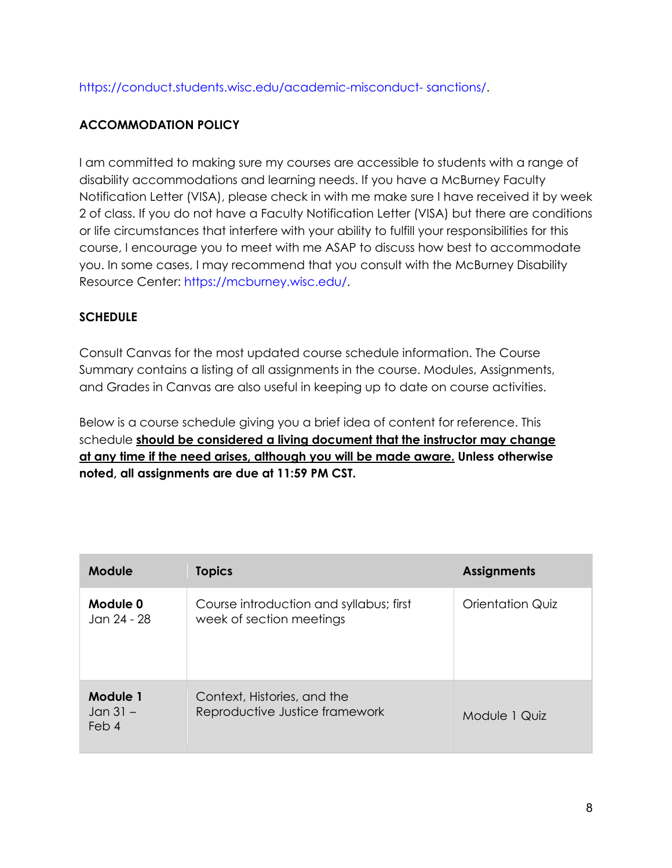https://conduct.students.wisc.edu/academic-misconduct- sanctions/.

# **ACCOMMODATION POLICY**

I am committed to making sure my courses are accessible to students with a range of disability accommodations and learning needs. If you have a McBurney Faculty Notification Letter (VISA), please check in with me make sure I have received it by week 2 of class. If you do not have a Faculty Notification Letter (VISA) but there are conditions or life circumstances that interfere with your ability to fulfill your responsibilities for this course, I encourage you to meet with me ASAP to discuss how best to accommodate you. In some cases, I may recommend that you consult with the McBurney Disability Resource Center: https://mcburney.wisc.edu/.

# **SCHEDULE**

Consult Canvas for the most updated course schedule information. The Course Summary contains a listing of all assignments in the course. Modules, Assignments, and Grades in Canvas are also useful in keeping up to date on course activities.

Below is a course schedule giving you a brief idea of content for reference. This schedule **should be considered a living document that the instructor may change at any time if the need arises, although you will be made aware. Unless otherwise noted, all assignments are due at 11:59 PM CST.** 

| Module                                | <b>Topics</b>                                                       | <b>Assignments</b> |
|---------------------------------------|---------------------------------------------------------------------|--------------------|
| Module 0<br>Jan 24 - 28               | Course introduction and syllabus; first<br>week of section meetings | Orientation Quiz   |
| <b>Module 1</b><br>Jan $31-$<br>Feb 4 | Context, Histories, and the<br>Reproductive Justice framework       | Module 1 Quiz      |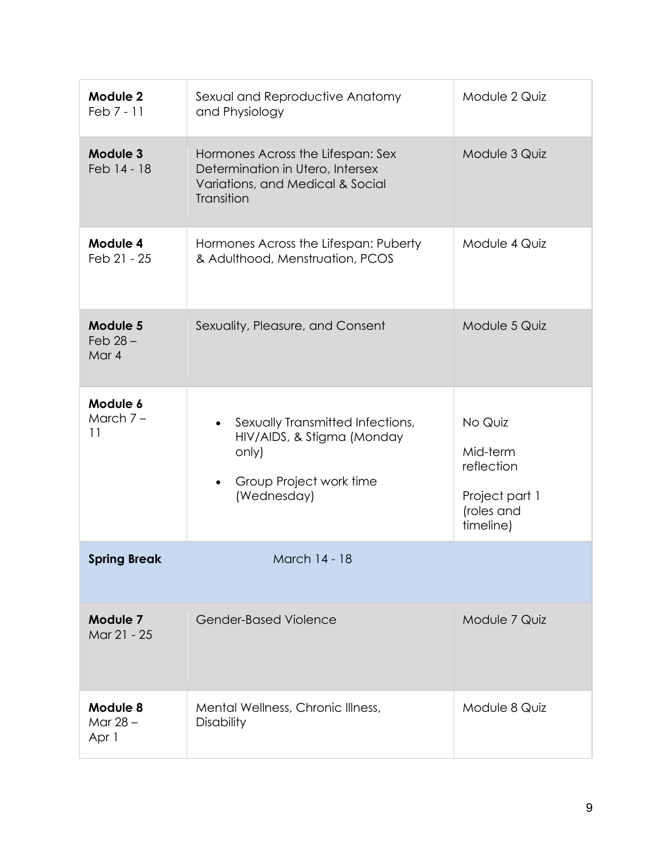| Module 2<br>Feb 7 - 11          | Sexual and Reproductive Anatomy<br>and Physiology                                                                       | Module 2 Quiz                                                                  |
|---------------------------------|-------------------------------------------------------------------------------------------------------------------------|--------------------------------------------------------------------------------|
| Module 3<br>Feb 14 - 18         | Hormones Across the Lifespan: Sex<br>Determination in Utero, Intersex<br>Variations, and Medical & Social<br>Transition | Module 3 Quiz                                                                  |
| Module 4<br>Feb 21 - 25         | Hormones Across the Lifespan: Puberty<br>& Adulthood, Menstruation, PCOS                                                | Module 4 Quiz                                                                  |
| Module 5<br>Feb $28 -$<br>Mar 4 | Sexuality, Pleasure, and Consent                                                                                        | Module 5 Quiz                                                                  |
| Module 6<br>March $7-$<br>11    | Sexually Transmitted Infections,<br>HIV/AIDS, & Stigma (Monday<br>only)<br>Group Project work time<br>(Wednesday)       | No Quiz<br>Mid-term<br>reflection<br>Project part 1<br>(roles and<br>timeline) |
| <b>Spring Break</b>             | March 14 - 18                                                                                                           |                                                                                |
| Module 7<br>Mar 21 - 25         | <b>Gender-Based Violence</b>                                                                                            | Module 7 Quiz                                                                  |
| Module 8<br>Mar 28 -<br>Apr 1   | Mental Wellness, Chronic Illness,<br><b>Disability</b>                                                                  | Module 8 Quiz                                                                  |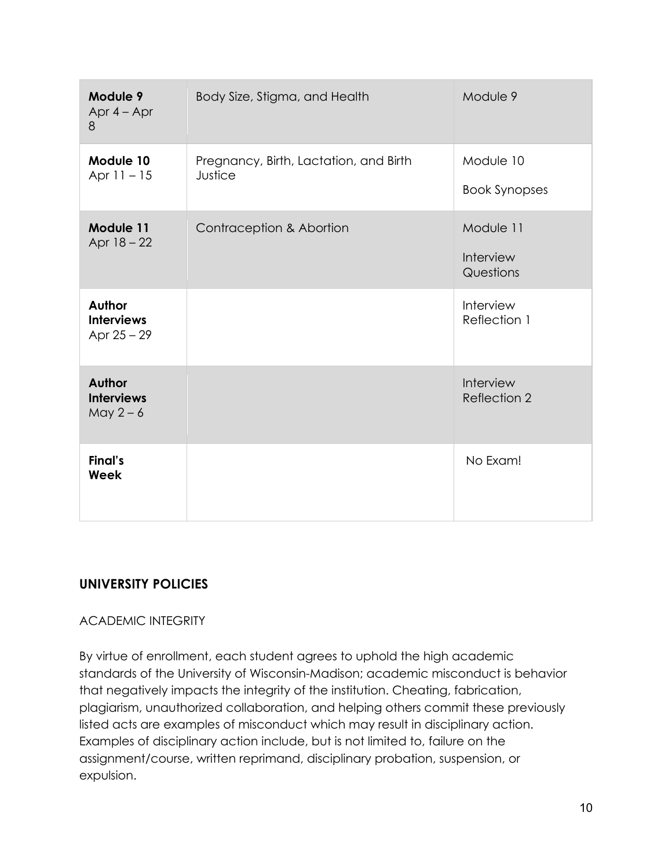| Module 9<br>Apr $4 -$ Apr<br>8               | Body Size, Stigma, and Health                     | Module 9                            |
|----------------------------------------------|---------------------------------------------------|-------------------------------------|
| Module 10<br>Apr $11 - 15$                   | Pregnancy, Birth, Lactation, and Birth<br>Justice | Module 10<br><b>Book Synopses</b>   |
| Module 11<br>Apr $18 - 22$                   | Contraception & Abortion                          | Module 11<br>Interview<br>Questions |
| Author<br><b>Interviews</b><br>Apr $25 - 29$ |                                                   | Interview<br>Reflection 1           |
| Author<br><b>Interviews</b><br>May $2-6$     |                                                   | Interview<br>Reflection 2           |
| Final's<br>Week                              |                                                   | No Exam!                            |

# **UNIVERSITY POLICIES**

# ACADEMIC INTEGRITY

By virtue of enrollment, each student agrees to uphold the high academic standards of the University of Wisconsin-Madison; academic misconduct is behavior that negatively impacts the integrity of the institution. Cheating, fabrication, plagiarism, unauthorized collaboration, and helping others commit these previously listed acts are examples of misconduct which may result in disciplinary action. Examples of disciplinary action include, but is not limited to, failure on the assignment/course, written reprimand, disciplinary probation, suspension, or expulsion.